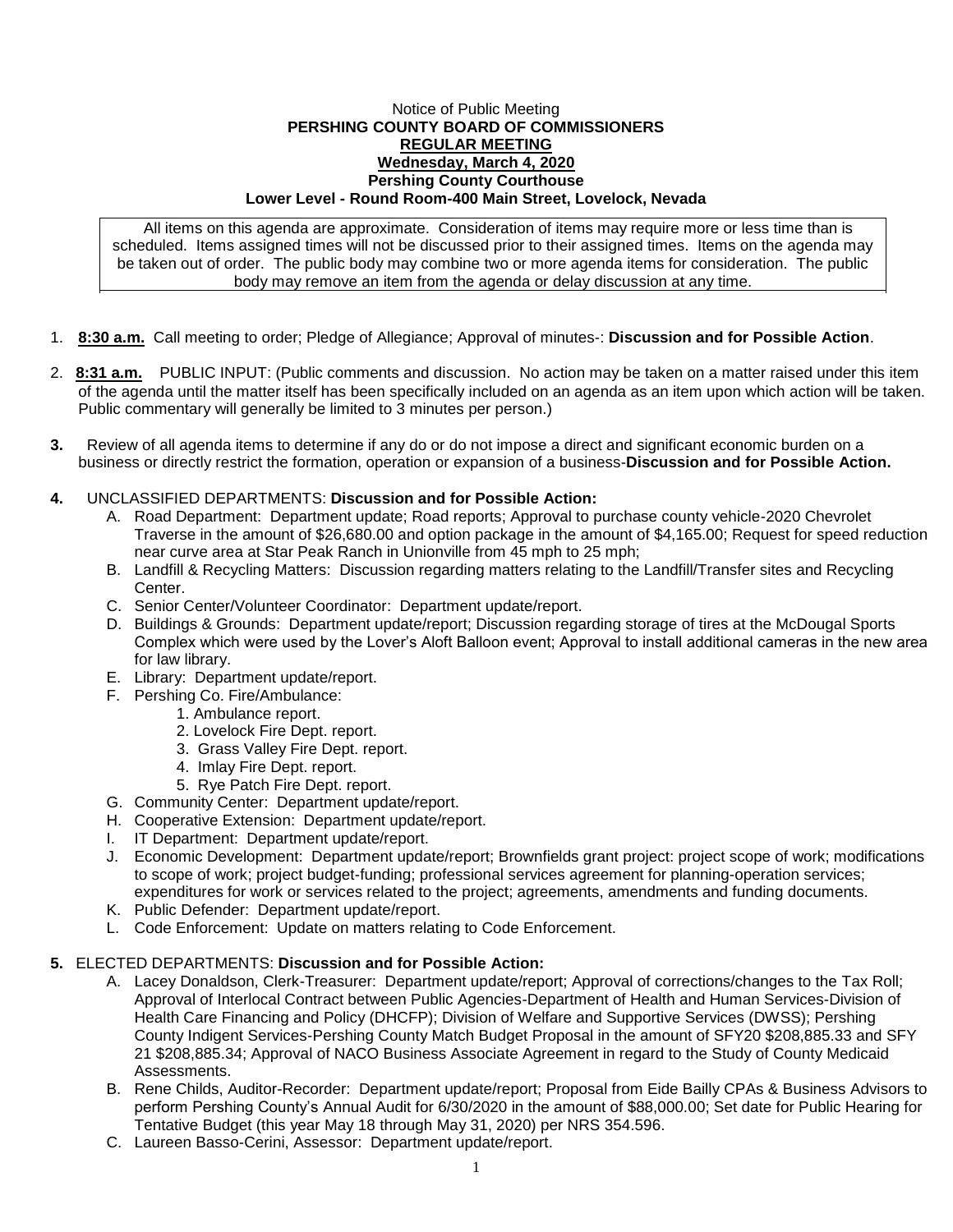## Notice of Public Meeting **PERSHING COUNTY BOARD OF COMMISSIONERS REGULAR MEETING Wednesday, March 4, 2020 Pershing County Courthouse Lower Level - Round Room-400 Main Street, Lovelock, Nevada**

All items on this agenda are approximate. Consideration of items may require more or less time than is scheduled. Items assigned times will not be discussed prior to their assigned times. Items on the agenda may be taken out of order. The public body may combine two or more agenda items for consideration. The public body may remove an item from the agenda or delay discussion at any time.

- 1. **8:30 a.m.** Call meeting to order; Pledge of Allegiance; Approval of minutes-: **Discussion and for Possible Action**.
- 2. **8:31 a.m.** PUBLIC INPUT: (Public comments and discussion. No action may be taken on a matter raised under this item of the agenda until the matter itself has been specifically included on an agenda as an item upon which action will be taken. Public commentary will generally be limited to 3 minutes per person.)
- **3.** Review of all agenda items to determine if any do or do not impose a direct and significant economic burden on a business or directly restrict the formation, operation or expansion of a business-**Discussion and for Possible Action.**

## **4.** UNCLASSIFIED DEPARTMENTS: **Discussion and for Possible Action:**

- A. Road Department: Department update; Road reports; Approval to purchase county vehicle-2020 Chevrolet Traverse in the amount of \$26,680.00 and option package in the amount of \$4,165.00; Request for speed reduction near curve area at Star Peak Ranch in Unionville from 45 mph to 25 mph;
- B. Landfill & Recycling Matters: Discussion regarding matters relating to the Landfill/Transfer sites and Recycling Center.
- C. Senior Center/Volunteer Coordinator: Department update/report.
- D. Buildings & Grounds: Department update/report; Discussion regarding storage of tires at the McDougal Sports Complex which were used by the Lover's Aloft Balloon event; Approval to install additional cameras in the new area for law library.
- E. Library: Department update/report.
- F. Pershing Co. Fire/Ambulance:
	- 1. Ambulance report.
	- 2. Lovelock Fire Dept. report.
	- 3. Grass Valley Fire Dept. report.
	- 4. Imlay Fire Dept. report.
	- 5. Rye Patch Fire Dept. report.
- G. Community Center: Department update/report.
- H. Cooperative Extension: Department update/report.
- I. IT Department: Department update/report.
- J. Economic Development: Department update/report; Brownfields grant project: project scope of work; modifications to scope of work; project budget-funding; professional services agreement for planning-operation services; expenditures for work or services related to the project; agreements, amendments and funding documents.
- K. Public Defender: Department update/report.
- L. Code Enforcement: Update on matters relating to Code Enforcement.

## **5.** ELECTED DEPARTMENTS: **Discussion and for Possible Action:**

- A. Lacey Donaldson, Clerk-Treasurer: Department update/report; Approval of corrections/changes to the Tax Roll; Approval of Interlocal Contract between Public Agencies-Department of Health and Human Services-Division of Health Care Financing and Policy (DHCFP); Division of Welfare and Supportive Services (DWSS); Pershing County Indigent Services-Pershing County Match Budget Proposal in the amount of SFY20 \$208,885.33 and SFY 21 \$208,885.34; Approval of NACO Business Associate Agreement in regard to the Study of County Medicaid Assessments.
- B. Rene Childs, Auditor-Recorder: Department update/report; Proposal from Eide Bailly CPAs & Business Advisors to perform Pershing County's Annual Audit for 6/30/2020 in the amount of \$88,000.00; Set date for Public Hearing for Tentative Budget (this year May 18 through May 31, 2020) per NRS 354.596.
- C. Laureen Basso-Cerini, Assessor: Department update/report.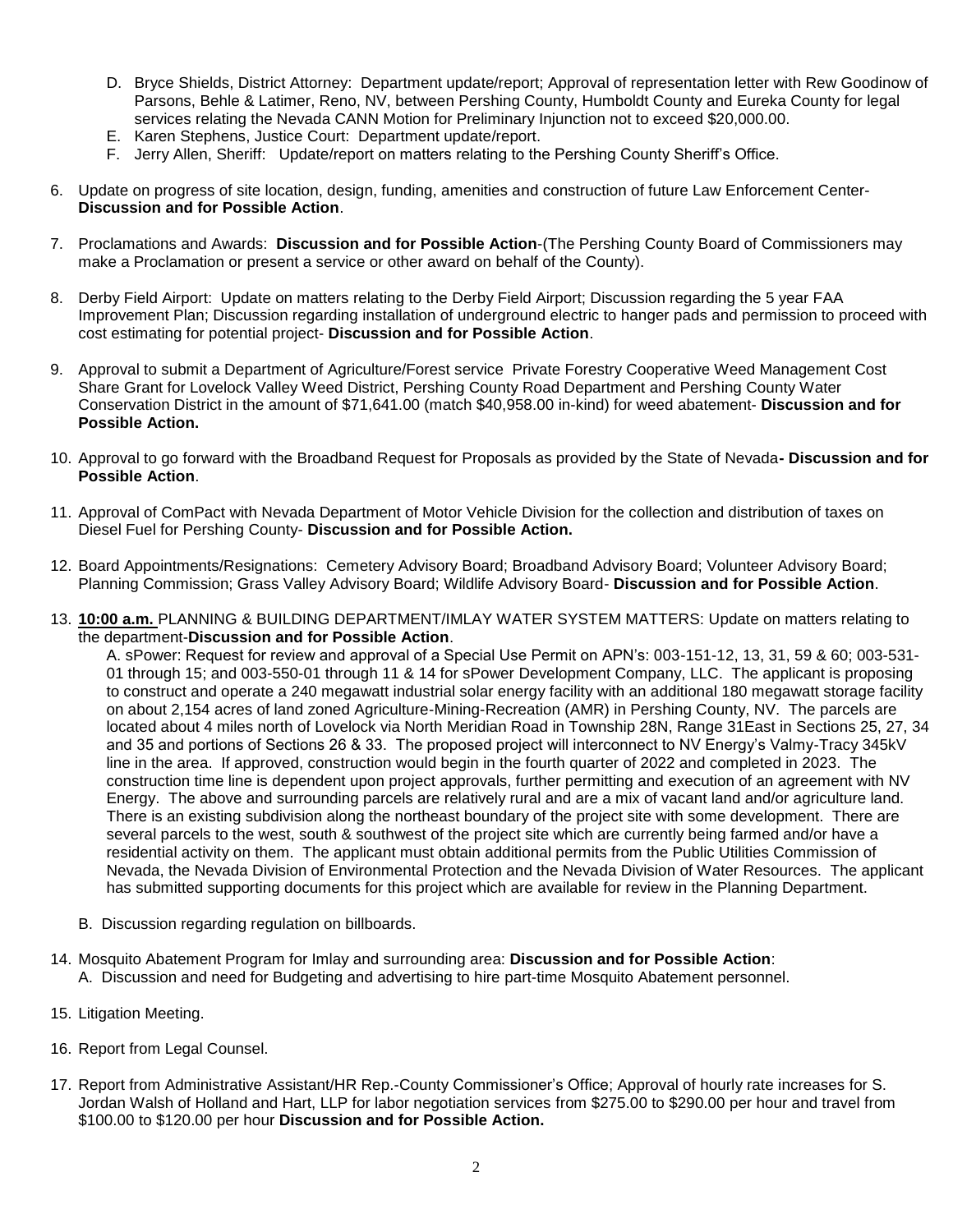- D. Bryce Shields, District Attorney: Department update/report; Approval of representation letter with Rew Goodinow of Parsons, Behle & Latimer, Reno, NV, between Pershing County, Humboldt County and Eureka County for legal services relating the Nevada CANN Motion for Preliminary Injunction not to exceed \$20,000.00.
- E. Karen Stephens, Justice Court: Department update/report.
- F. Jerry Allen, Sheriff: Update/report on matters relating to the Pershing County Sheriff's Office.
- 6. Update on progress of site location, design, funding, amenities and construction of future Law Enforcement Center-**Discussion and for Possible Action**.
- 7. Proclamations and Awards: **Discussion and for Possible Action**-(The Pershing County Board of Commissioners may make a Proclamation or present a service or other award on behalf of the County).
- 8. Derby Field Airport: Update on matters relating to the Derby Field Airport; Discussion regarding the 5 year FAA Improvement Plan; Discussion regarding installation of underground electric to hanger pads and permission to proceed with cost estimating for potential project- **Discussion and for Possible Action**.
- 9. Approval to submit a Department of Agriculture/Forest service Private Forestry Cooperative Weed Management Cost Share Grant for Lovelock Valley Weed District, Pershing County Road Department and Pershing County Water Conservation District in the amount of \$71,641.00 (match \$40,958.00 in-kind) for weed abatement- **Discussion and for Possible Action.**
- 10. Approval to go forward with the Broadband Request for Proposals as provided by the State of Nevada**- Discussion and for Possible Action**.
- 11. Approval of ComPact with Nevada Department of Motor Vehicle Division for the collection and distribution of taxes on Diesel Fuel for Pershing County- **Discussion and for Possible Action.**
- 12. Board Appointments/Resignations: Cemetery Advisory Board; Broadband Advisory Board; Volunteer Advisory Board; Planning Commission; Grass Valley Advisory Board; Wildlife Advisory Board- **Discussion and for Possible Action**.
- 13. **10:00 a.m.** PLANNING & BUILDING DEPARTMENT/IMLAY WATER SYSTEM MATTERS: Update on matters relating to the department-**Discussion and for Possible Action**.

A. sPower: Request for review and approval of a Special Use Permit on APN's: 003-151-12, 13, 31, 59 & 60; 003-531- 01 through 15; and 003-550-01 through 11 & 14 for sPower Development Company, LLC. The applicant is proposing to construct and operate a 240 megawatt industrial solar energy facility with an additional 180 megawatt storage facility on about 2,154 acres of land zoned Agriculture-Mining-Recreation (AMR) in Pershing County, NV. The parcels are located about 4 miles north of Lovelock via North Meridian Road in Township 28N, Range 31East in Sections 25, 27, 34 and 35 and portions of Sections 26 & 33. The proposed project will interconnect to NV Energy's Valmy-Tracy 345kV line in the area. If approved, construction would begin in the fourth quarter of 2022 and completed in 2023. The construction time line is dependent upon project approvals, further permitting and execution of an agreement with NV Energy. The above and surrounding parcels are relatively rural and are a mix of vacant land and/or agriculture land. There is an existing subdivision along the northeast boundary of the project site with some development. There are several parcels to the west, south & southwest of the project site which are currently being farmed and/or have a residential activity on them. The applicant must obtain additional permits from the Public Utilities Commission of Nevada, the Nevada Division of Environmental Protection and the Nevada Division of Water Resources. The applicant has submitted supporting documents for this project which are available for review in the Planning Department.

- B. Discussion regarding regulation on billboards.
- 14. Mosquito Abatement Program for Imlay and surrounding area: **Discussion and for Possible Action**: A. Discussion and need for Budgeting and advertising to hire part-time Mosquito Abatement personnel.
- 15. Litigation Meeting.
- 16. Report from Legal Counsel.
- 17. Report from Administrative Assistant/HR Rep.-County Commissioner's Office; Approval of hourly rate increases for S. Jordan Walsh of Holland and Hart, LLP for labor negotiation services from \$275.00 to \$290.00 per hour and travel from \$100.00 to \$120.00 per hour **Discussion and for Possible Action.**